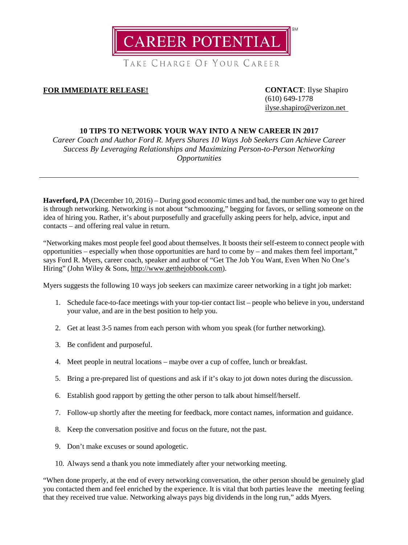

TAKE CHARGE OF YOUR CAREER

## **FOR IMMEDIATE RELEASE! CONTACT**: Ilyse Shapiro

(610) 649-1778 [ilyse.shapiro@verizon.net](mailto:ilyse.shapiro@verizon.net)

## **10 TIPS TO NETWORK YOUR WAY INTO A NEW CAREER IN 2017**

*Career Coach and Author Ford R. Myers Shares 10 Ways Job Seekers Can Achieve Career Success By Leveraging Relationships and Maximizing Person-to-Person Networking Opportunities*

**Haverford, PA** (December 10, 2016) – During good economic times and bad, the number one way to get hired is through networking. Networking is not about "schmoozing," begging for favors, or selling someone on the idea of hiring you. Rather, it's about purposefully and gracefully asking peers for help, advice, input and contacts – and offering real value in return.

"Networking makes most people feel good about themselves. It boosts their self-esteem to connect people with opportunities – especially when those opportunities are hard to come by – and makes them feel important," says Ford R. Myers, career coach, speaker and author of "Get The Job You Want, Even When No One's Hiring" (John Wiley & Sons, [http://www.getthejobbook.com\)](http://www.getthejobbook.com/).

Myers suggests the following 10 ways job seekers can maximize career networking in a tight job market:

- 1. Schedule face-to-face meetings with your top-tier contact list people who believe in you, understand your value, and are in the best position to help you.
- 2. Get at least 3-5 names from each person with whom you speak (for further networking).
- 3. Be confident and purposeful.
- 4. Meet people in neutral locations maybe over a cup of coffee, lunch or breakfast.
- 5. Bring a pre-prepared list of questions and ask if it's okay to jot down notes during the discussion.
- 6. Establish good rapport by getting the other person to talk about himself/herself.
- 7. Follow-up shortly after the meeting for feedback, more contact names, information and guidance.
- 8. Keep the conversation positive and focus on the future, not the past.
- 9. Don't make excuses or sound apologetic.
- 10. Always send a thank you note immediately after your networking meeting.

"When done properly, at the end of every networking conversation, the other person should be genuinely glad you contacted them and feel enriched by the experience. It is vital that both parties leave the meeting feeling that they received true value. Networking always pays big dividends in the long run," adds Myers.